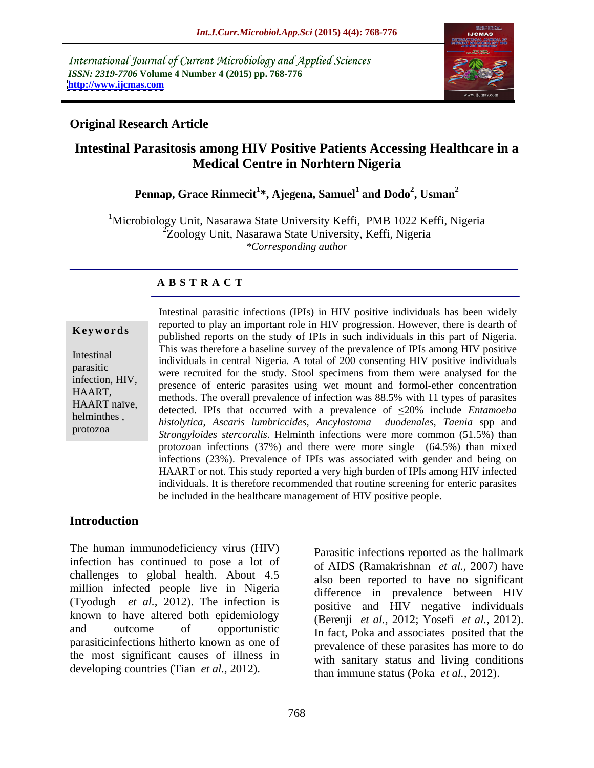International Journal of Current Microbiology and Applied Sciences *ISSN: 2319-7706* **Volume 4 Number 4 (2015) pp. 768-776 <http://www.ijcmas.com>**



### **Original Research Article**

# **Intestinal Parasitosis among HIV Positive Patients Accessing Healthcare in a Medical Centre in Norhtern Nigeria**

### **Pennap, Grace Rinmecit<sup>1</sup> \*, Ajegena, Samuel<sup>1</sup> and Dodo<sup>2</sup> , Usman<sup>2</sup>**

<sup>1</sup>Microbiology Unit, Nasarawa State University Keffi, PMB 1022 Keffi, Nigeria 2Zoology Unit, Nasarawa State University, Keffi, Nigeria *\*Corresponding author*

### **A B S T R A C T**

protozoa

Intestinal parasitic infections (IPIs) in HIV positive individuals has been widely reported to play an important role in HIV progression. However, there is dearth of **Example 1988** Reports on the study of IPIs in such individuals in this part of Nigeria. This was therefore a baseline survey of the prevalence of IPIs among HIV positive Intestinal<br>individuals in central Nigeria. A total of 200 consenting HIV positive individuals parasitic<br>infection UIV were recruited for the study. Stool specimens from them were analysed for the infection, HIV,<br>IIA A DT HAART,<br>HAART, methods. The overall prevalence of infection was 88.5% with 11 types of parasites HAART naïve,<br>
detected. IPIs that occurred with a prevalence of  $\leq$ 20% include *Entamoeba histolytica*, *Ascaris lumbriccides*, *Ancylostoma duodenales*, *Taenia* spp and helminthes , *Strongyloides stercoralis*. Helminth infections were more common (51.5%) than protozoan infections (37%) and there were more single (64.5%) than mixed infections (23%). Prevalence of IPIs was associated with gender and being on HAART or not. This study reported a very high burden of IPIs among HIV infected individuals. It is therefore recommended that routine screening for enteric parasites be included in the healthcare management of HIV positive people.

### **Introduction**

The human immunodeficiency virus (HIV) infection has continued to pose a lot of challenges to global health. About 4.5 million infected people live in Nigeria (Tyodugh *et al.,* 2012). The infection is known to have altered both epidemiology and outcome of opportunistic In fact, Poka and associates posited that the parasiticinfections hitherto known as one of the most significant causes of illness in developing countries (Tian *et al.,* 2012).

Parasitic infections reported as the hallmark of AIDS (Ramakrishnan *et al.,* 2007) have also been reported to have no significant difference in prevalence between HIV positive and HIV negative individuals (Berenji *et al.,* 2012; Yosefi *et al.,* 2012). prevalence of these parasites has more to do with sanitary status and living conditions than immune status (Poka *et al.,* 2012).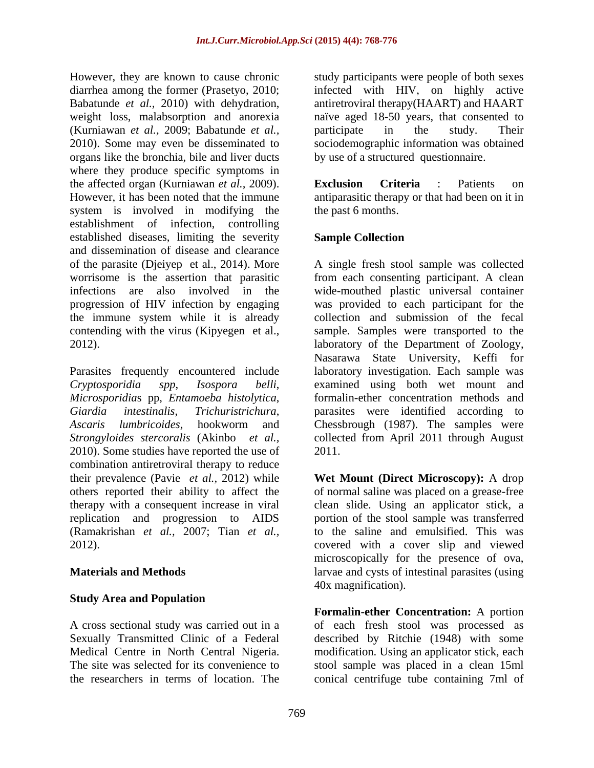However, they are known to cause chronic study participants were people of both sexes diarrhea among the former (Prasetyo, 2010; infected with HIV, on highly active Babatunde *et al.*, 2010) with dehydration, antiretroviral therapy(HAART) and HAART weight loss, malabsorption and anorexia naïve aged 18-50 years, that consented to (Kurniawan *et al.,* 2009; Babatunde *et al.,* 2010). Some may even be disseminated to sociodemographic information was obtained organs like the bronchia, bile and liver ducts where they produce specific symptoms in the affected organ (Kurniawan *et al.,* 2009). However, it has been noted that the immune antiparasitic therapy or that had been on it in system is involved in modifying the establishment of infection, controlling established diseases, limiting the severity **Sample Collection** and dissemination of disease and clearance of the parasite (Djeiyep et al., 2014). More worrisome is the assertion that parasitic from each consenting participant. A clean infections are also involved in the wide-mouthed plastic universal container progression of HIV infection by engaging was provided to each participant for the the immune system while it is already contending with the virus (Kipyegen et al., sample. Samples were transported to the 2012). laboratory of the Department of Zoology,

2010). Some studies have reported the use of 2011. combination antiretroviral therapy to reduce therapy with a consequent increase in viral replication and progression to AIDS (Ramakrishan *et al.,* 2007; Tian *et al.,*

## **Study Area and Population**

participate in the study. Their by use of a structured questionnaire.

**Exclusion Criteria** : Patients on the past 6 months.

## **Sample Collection**

Parasites frequently encountered include laboratory investigation. Each sample was *Cryptosporidia spp*, *Isospora belli*, examined using both wet mount and *Microsporidia*s pp, *Entamoeba histolytica*, formalin-ether concentration methods and *Giardia intestinalis*, *Trichuristrichura*, parasites were identified according to *Ascaris lumbricoides*, hookworm and Chessbrough (1987). The samples were *Strongyloides stercoralis* (Akinbo *et al.,* collected from April 2011 through August A single fresh stool sample was collected collection and submission of the fecal Nasarawa State University, Keffi for 2011.

their prevalence (Pavie *et al.,* 2012) while **Wet Mount (Direct Microscopy):** A drop others reported their ability to affect the of normal saline was placed on a grease-free 2012). covered with a cover slip and viewed **Materials and Methods Example 20** and cysts of intestinal parasites (using clean slide. Using an applicator stick, a portion of the stool sample was transferred to the saline and emulsified. This was microscopically for the presence of ova, 40x magnification).

A cross sectional study was carried out in a of each fresh stool was processed as Sexually Transmitted Clinic of a Federal described by Ritchie (1948) with some Medical Centre in North Central Nigeria. modification. Using an applicator stick, each The site was selected for its convenience to stool sample was placed in a clean 15ml the researchers in terms of location. The conical centrifuge tube containing 7ml of**Formalin-ether Concentration:** A portion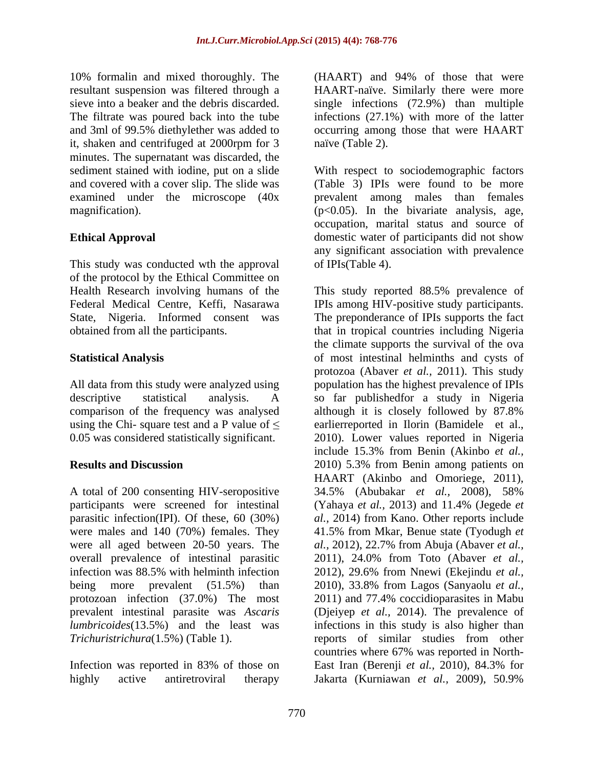and 3ml of 99.5% diethylether was added to it, shaken and centrifuged at 2000rpm for 3 minutes. The supernatant was discarded, the and covered with a cover slip. The slide was

This study was conducted wth the approval of the protocol by the Ethical Committee on Health Research involving humans of the This study reported 88.5% prevalence of

comparison of the frequency was analysed although it is closely followed by 87.8%

were all aged between 20-50 years. The *al.*, 2012), 22.7% from Abuja (Abaver *et al.*,

highly active antiretroviral therapy Jakarta (Kurniawan *et al.,* 2009), 50.9%

10% formalin and mixed thoroughly. The (HAART) and 94% of those that were resultant suspension was filtered through a HAART-naïve. Similarly there were more sieve into a beaker and the debris discarded. single infections (72.9%) than multiple The filtrate was poured back into the tube infections (27.1%) with more of the latter occurring among those that were HAART naïve (Table 2).

sediment stained with iodine, put on a slide With respect to sociodemographic factors examined under the microscope (40x prevalent among males than females magnification). (p<0.05). In the bivariate analysis, age, **Ethical Approval** domestic water of participants did not show (Table 3) IPIs were found to be more occupation, marital status and source of any significant association with prevalence of IPIs(Table 4).

Federal Medical Centre, Keffi, Nasarawa IPIs among HIV-positive study participants. State, Nigeria. Informed consent was The preponderance of IPIs supports the fact obtained from all the participants. that in tropical countries including Nigeria **Statistical Analysis** of most intestinal helminths and cysts of All data from this study were analyzed using population has the highest prevalence of IPIs descriptive statistical analysis. A so far publishedfor a study in Nigeria using the Chi- square test and a P value of  $\leq$  earlierreported in Ilorin (Bamidele et al., 0.05 was considered statistically significant. 2010). Lower values reported in Nigeria **Results and Discussion** 2010) 5.3% from Benin among patients on A total of 200 consenting HIV-seropositive 34.5% (Abubakar *et al.,* 2008), 58% participants were screened for intestinal (Yahaya *et al.,* 2013) and 11.4% (Jegede *et* parasitic infection(IPI). Of these, 60 (30%) *al.,* 2014) from Kano. Other reports include were males and 140 (70%) females. They 41.5% from Mkar, Benue state (Tyodugh *et* overall prevalence of intestinal parasitic 2011), 24.0% from Toto (Abaver *et al.,* infection was 88.5% with helminth infection 2012), 29.6% from Nnewi (Ekejindu *et al.*, being more prevalent (51.5%) than 2010), 33.8% from Lagos (Sanyaolu *et al.,* protozoan infection (37.0%) The most 2011) and 77.4% coccidioparasites in Mabu prevalent intestinal parasite was *Ascaris*  (Djeiyep *et al.,* 2014). The prevalence of *lumbricoides*(13.5%) and the least was infections in this study is also higher than *Trichuristrichura*(1.5%) (Table 1). Trichuristrichura reports of similar studies from other Infection was reported in 83% of those on East Iran (Berenji et al., 2010), 84.3% for This study reported 88.5% prevalence of the climate supports the survival of the ova protozoa (Abaver *et al.,* 2011).This study although it is closely followed by 87.8% include 15.3% from Benin (Akinbo *et al.,* HAART (Akinbo and Omoriege, 2011), *al.,* 2012), 22.7% from Abuja (Abaver *et al.,* 2012), 29.6% from Nnewi (Ekejindu *et al.,* countries where 67% was reported in North- East Iran (Berenji *et al.*, 2010), 84.3% for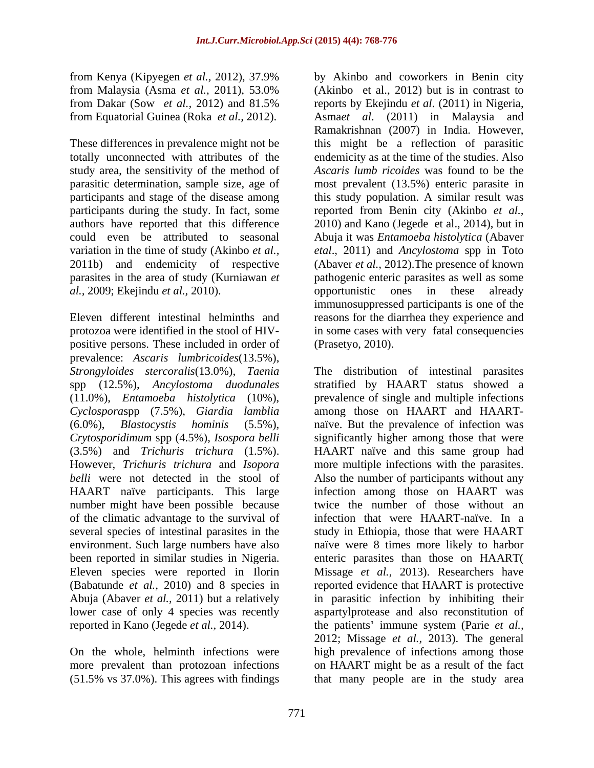totally unconnected with attributes of the study area, the sensitivity of the method of 2011b) and endemicity of respective *al.,* 2009; Ekejindu *et al.,* 2010).

positive persons. These included in order of prevalence: *Ascaris lumbricoides*(13.5%), *Crytosporidimum* spp (4.5%), *Isospora belli* HAART naïve participants. This large of the climatic advantage to the survival of Eleven species were reported in Ilorin

(51.5% vs 37.0%). This agrees with findings

from Kenya (Kipyegen *et al.,* 2012), 37.9% from Malaysia (Asma *et al.*, 2011), 53.0% (Akinbo et al., 2012) but is in contrast to from Dakar (Sow *et al.,* 2012) and 81.5% reports by Ekejindu *et al*. (2011) in Nigeria, from Equatorial Guinea (Roka *et al.,* 2012). Asma*et al*. (2011) in Malaysia and These differences in prevalence might not be this might be a reflection of parasitic parasitic determination, sample size, age of most prevalent (13.5%) enteric parasite in participants and stage of the disease among this study population. A similar result was participants during the study. In fact, some reported from Benin city (Akinbo *et al.,* authors have reported that this difference 2010) and Kano (Jegede et al., 2014), but in could even be attributed to seasonal Abuja it was *Entamoeba histolytica* (Abaver variation in the time of study (Akinbo *et al., etal*., 2011) and *Ancylostoma* spp in Toto parasites in the area of study (Kurniawan *et* pathogenic enteric parasites as well as some Eleven different intestinal helminths and reasons for the diarrhea they experience and protozoa were identified in the stool of HIV- in some cases with very fatal consequencies by Akinbo and coworkers in Benin city (Akinbo et al., 2012) but is in contrast to Ramakrishnan (2007) in India. However, endemicity as at the time of the studies. Also *Ascaris lumb ricoides* was found to be the (Abaver *et al.,* 2012).The presence of known opportunistic ones in these already immunosuppressed participants is one of the (Prasetyo, 2010).

*Strongyloides stercoralis*(13.0%), *Taenia* The distribution of intestinal parasites spp (12.5%), *Ancylostoma duodunales* stratified by HAART status showed a (11.0%), *Entamoeba histolytica* (10%), prevalence of single and multiple infections *Cyclospora*spp (7.5%), *Giardia lamblia* among those on HAART and HAART- (6.0%), *Blastocystis hominis* (5.5%), naïve. But the prevalence of infection was (3.5%) and *Trichuris trichura* (1.5%). HAART naïve and this same group had However, *Trichuris trichura* and *Isopora*  more multiple infections with the parasites. *belli* were not detected in the stool of Also the number of participants without any number might have been possible because twice the number of those without an several species of intestinal parasites in the study in Ethiopia, those that were HAART environment. Such large numbers have also naïve were 8 times more likely to harbor been reported in similar studies in Nigeria. enteric parasites than those on HAART( (Babatunde *et al.,* 2010) and 8 species in reported evidence that HAART is protective Abuja (Abaver *et al.,* 2011) but a relatively in parasitic infection by inhibiting their lower case of only 4 species was recently aspartylprotease and also reconstitution of reported in Kano (Jegede *et al.,* 2014). the patients immune system (Parie *et al.,* On the whole, helminth infections were high prevalence of infections among those more prevalent than protozoan infections on HAART might be as a result of the fact significantly higher among those that were infection among those on HAART was infection that were HAART-naïve. In a Missage *et al.,* 2013). Researchers have 2012; Missage *et al.,* 2013). The general that many people are in the study area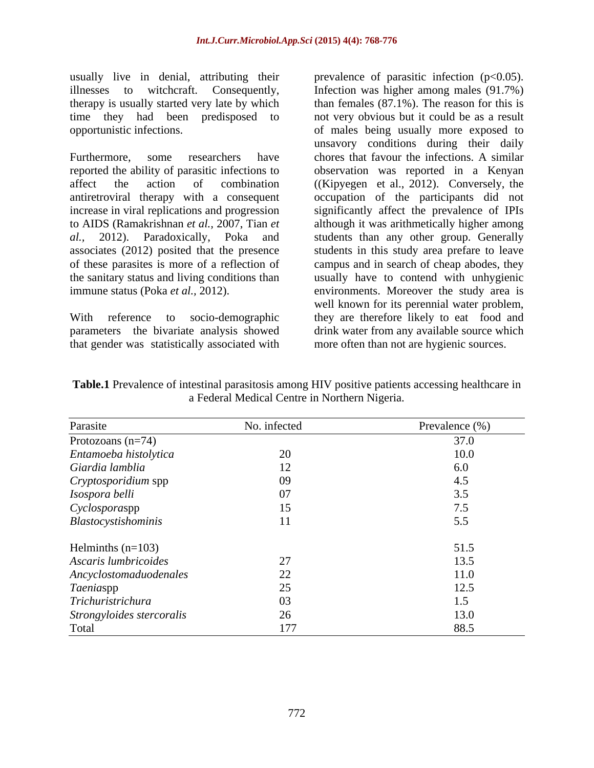usually live in denial, attributing their therapy is usually started very late by which

Furthermore, some researchers have chores that favour the infections. A similar reported the ability of parasitic infections to observation was reported in a Kenyan affect the action of combination ((Kipyegen et al., 2012). Conversely, the antiretroviral therapy with a consequent occupation of the participants did not increase in viral replications and progression significantly affect the prevalence of IPIs to AIDS (Ramakrishnan *et al.,* 2007, Tian *et* although it was arithmetically higher among *al.,* 2012). Paradoxically, Poka and students than any other group. Generally associates (2012) posited that the presence students in this study area prefare to leave of these parasites is more of a reflection of campus and in search of cheap abodes, they the sanitary status and living conditions than usually have to contend with unhygienic

that gender was statistically associated with

illnesses to witchcraft. Consequently, Infection was higher among males (91.7%) time they had been predisposed to not very obvious but it could be as a result opportunistic infections. of males being usually more exposed to immune status (Poka *et al.,* 2012). environments. Moreover the study area is With reference to socio-demographic they are therefore likely to eat food and parameters the bivariate analysis showed drink water from any available source which prevalence of parasitic infection  $(p<0.05)$ . than females (87.1%). The reason for this is unsavory conditions during their daily well known for its perennial water problem, more often than not are hygienic sources.

**Table.1** Prevalence of intestinal parasitosis among HIV positive patients accessing healthcare in a Federal Medical Centre in Northern Nigeria.

| Parasite                  | No. infected | Prevalence (%) |
|---------------------------|--------------|----------------|
| Protozoans $(n=74)$       |              | 37.0           |
| Entamoeba histolytica     |              | 10.0           |
| Giardia lamblia           |              | 6.0            |
| Cryptosporidium spp       |              |                |
| Isospora belli            |              |                |
| Cyclosporaspp             |              |                |
| Blastocystishominis       |              |                |
| Helminths $(n=103)$       |              | 51.5           |
| Ascaris lumbricoides      |              | 13.5           |
| Ancyclostomaduodenales    |              | 11.0           |
| Taeniaspp                 |              | ، ۱            |
| Trichuristrichura         |              |                |
| Strongyloides stercoralis |              | 13.0           |
| Total                     |              | 88.5           |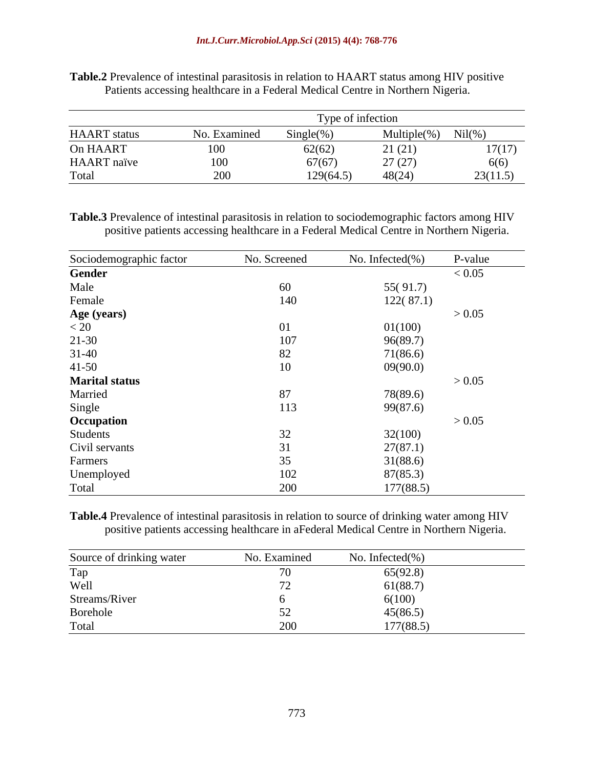|                     |              | Type of infection |                  |          |
|---------------------|--------------|-------------------|------------------|----------|
| <b>HAART</b> status | No. Examined | $Single(\% )$     | Multiple $(\% )$ | Nil(% )  |
| On HAART            | 100          | 62(62)            | 21(21)           | 17(17)   |
| <b>HAART</b> naïve  | 100          | 67(67)            | 27(27)           | 6(6)     |
| m.<br>Total         | 200          | 129(64.5)         | 48(24)           | 23(11.5) |

**Table.2** Prevalence of intestinal parasitosis in relation to HAART status among HIV positive Patients accessing healthcare in a Federal Medical Centre in Northern Nigeria.

**Table.3** Prevalence of intestinal parasitosis in relation to sociodemographic factors among HIV positive patients accessing healthcare in a Federal Medical Centre in Northern Nigeria.

| Sociodemographic factor | No. Screened | No. Infected $(\% )$ | P-value |
|-------------------------|--------------|----------------------|---------|
| Gender                  |              |                      | < 0.05  |
| Male                    | 60           | 55(91.7)             |         |
| Female                  | 140          | 122(87.1)            |         |
| Age (years)             |              |                      | > 0.05  |
| < 20                    | 01           | 01(100)              |         |
| $21 - 30$               | 107          | 96(89.7)             |         |
| $31 - 40$               | 82           | 71(86.6)             |         |
| $41 - 50$               | 10           | 09(90.0)             |         |
| <b>Marital status</b>   |              |                      | > 0.05  |
| Married                 | 87           | 78(89.6)             |         |
| Single                  | 113          | 99(87.6)             |         |
| Occupation              |              |                      | > 0.05  |
| Students                | 32           | 32(100)              |         |
| Civil servants          | 31           | 27(87.1)             |         |
| Farmers                 | 35           | 31(88.6)             |         |
| Unemployed              | 102          | 87(85.3)             |         |
| Total                   | 200          | 177(88.5)            |         |

**Table.4** Prevalence of intestinal parasitosis in relation to source of drinking water among HIV positive patients accessing healthcare in aFederal Medical Centre in Northern Nigeria.

| Source of drinking water | No. Examined | No. Infected $(\% )$ |
|--------------------------|--------------|----------------------|
| Tap                      |              | 65(92.8)             |
| Well                     |              | 61(88.7)             |
| Streams/River            |              | 6(100)               |
| Borehole                 |              | 45(86.5)             |
| Total                    | 200          | 177(88.5)            |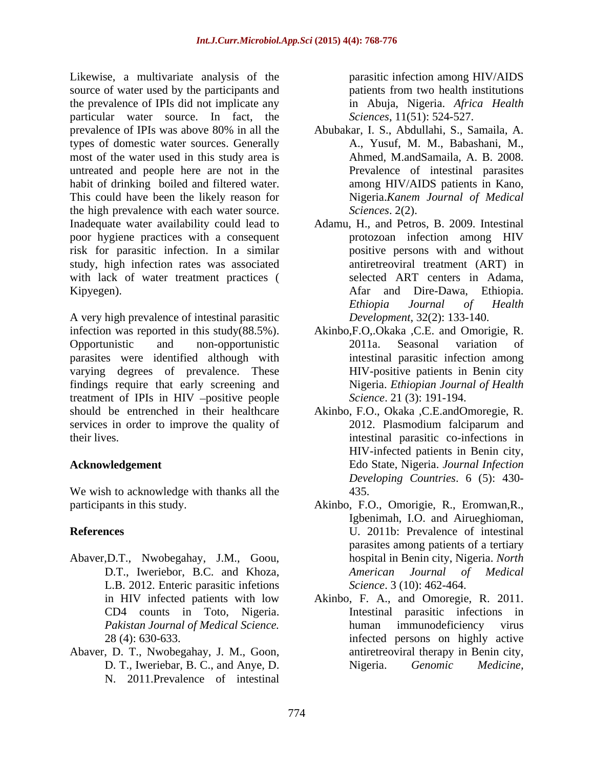Likewise, a multivariate analysis of the source of water used by the participants and patients from two health institutions the prevalence of IPIs did not implicate any particular water source. In fact, the prevalence of IPIs was above 80% in all the types of domestic water sources. Generally most of the water used in this study area is untreated and people here are not in the habit of drinking boiled and filtered water. This could have been the likely reason for the high prevalence with each water source. Inadequate water availability could lead to poor hygiene practices with a consequent risk for parasitic infection. In a similar study, high infection rates was associated with lack of water treatment practices (Selected ART centers in Adama, Kipyegen). Afar and Dire-Dawa, Ethiopia.

A very high prevalence of intestinal parasitic infection was reported in this study(88.5%). Akinbo,F.O,.Okaka ,C.E. and Omorigie, R. Opportunistic and non-opportunistic parasites were identified although with varying degrees of prevalence. These findings require that early screening and treatment of IPIs in HIV -positive people should be entrenched in their healthcare Akinbo, F.O., Okaka ,C.E.andOmoregie, R. services in order to improve the quality of 2012. Plasmodium falciparum and

We wish to acknowledge with thanks all the 435.

- Abaver,D.T., Nwobegahay, J.M., Goou, L.B. 2012. Enteric parasitic infetions
- Abaver, D. T., Nwobegahay, J. M., Goon, N. 2011.Prevalence of intestinal

parasitic infection among HIV/AIDS patients from two health institutions in Abuja, Nigeria. *Africa Health Sciences*, 11(51): 524-527.

- Abubakar, I. S., Abdullahi, S., Samaila, A. A., Yusuf, M. M., Babashani, M., Ahmed, M.andSamaila, A. B. 2008. Prevalence of intestinal parasites among HIV/AIDS patients in Kano, Nigeria.*Kanem Journal of Medical Sciences*. 2(2).
- Adamu, H., and Petros, B. 2009. Intestinal protozoan infection among HIV positive persons with and without antiretreoviral treatment (ART) in selected ART centers in Adama, Afar and Dire-Dawa, Ethiopia. *Ethiopia Journal of Health Development*, 32(2): 133-140.
- 2011a. Seasonal variation of intestinal parasitic infection among HIV-positive patients in Benin city Nigeria. *Ethiopian Journalof Health Science*. 21 (3): 191-194.
- their lives. intestinal parasitic co-infections in **Acknowledgement** Edo State, Nigeria. *Journal Infection* 2012. Plasmodium falciparum and HIV-infected patients in Benin city, *Developing Countries*. 6 (5): 430- 435.
- participants in this study. Akinbo, F.O., Omorigie, R., Eromwan,R., **References** U. 2011b: Prevalence of intestinal D.T., Iweriebor, B.C. and Khoza, *American Journal of Medical* Igbenimah, I.O. and Airueghioman, parasites among patients of a tertiary hospital in Benin city, Nigeria. *North American Journal of Medical Science*. 3 (10): 462-464.
	- in HIV infected patients with low Akinbo, F. A., and Omoregie, R. 2011. CD4 counts in Toto, Nigeria. Intestinal parasitic infections in *Pakistan Journal of Medical Science.* 28 (4): 630-633. infected persons on highly active D. T., Iweriebar, B. C., and Anye, D. Nigeria. Genomic Medicine, human immunodeficiency virus antiretreoviral therapy in Benin city, Nigeria. *Genomic Medicine,*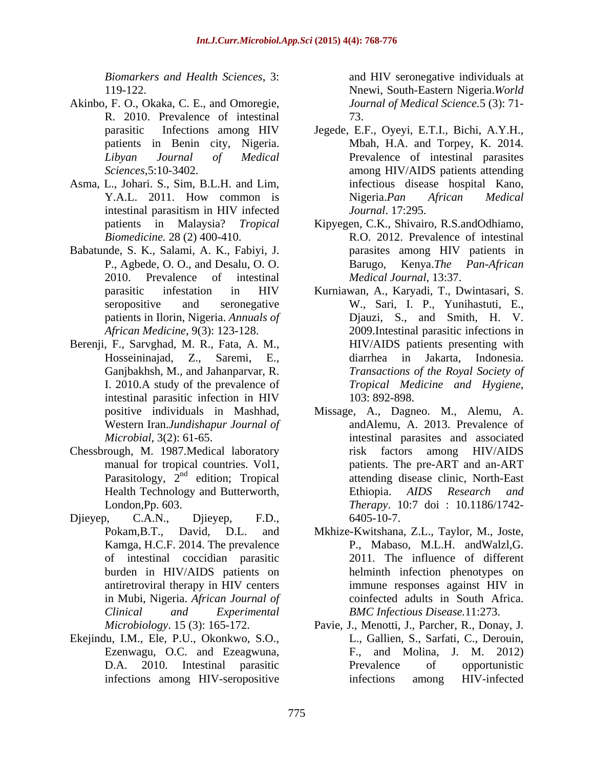- Akinbo, F. O., Okaka, C. E., and Omoregie, R. 2010. Prevalence of intestinal
- Asma, L., Johari. S., Sim, B.L.H. and Lim,
- Babatunde, S. K., Salami, A. K., Fabiyi, J. P., Agbede, O. O., and Desalu, O. O. 2010. Prevalence of intestinal
- Berenji, F., Sarvghad, M. R., Fata, A. M., intestinal parasitic infection in HIV
- Chessbrough, M. 1987.Medical laboratory
- Djieyep, C.A.N., Djieyep, F.D., Kamga, H.C.F. 2014. The prevalence of intestinal coccidian parasitic in Mubi, Nigeria. *African Journal of*
- Ekejindu, I.M., Ele, P.U., Okonkwo, S.O., Ezenwagu, O.C. and Ezeagwuna,

*Biomarkers and Health Sciences*, 3: and HIV seronegative individuals at 119-122. Nnewi, South-Eastern Nigeria.*World Journal of Medical Science.*5 (3): 71- 73.

- parasitic Infections among HIV Jegede, E.F., Oyeyi, E.T.I., Bichi, A.Y.H., patients in Benin city, Nigeria. Mbah, H.A. and Torpey, K. 2014. *Libyan Journal of Medical* Prevalence of intestinal parasites *Sciences*,5:10-3402. among HIV/AIDS patients attending Y.A.L. 2011. How common is Nigeria.Pan African Medical intestinal parasitism in HIV infected *Journal*. 17:295. infectious disease hospital Kano, Nigeria.*Pan African Medical Journal*. 17:295.
- patients in Malaysia? *Tropical*  Kipyegen, C.K., Shivairo, R.S.andOdhiamo, *Biomedicine.* 28 (2) 400-410. R.O. 2012. Prevalence of intestinal parasites among HIV patients in Barugo, Kenya.*The Pan-African Medical Journal*, 13:37.
- parasitic infestation in HIV Kurniawan, A., Karyadi, T., Dwintasari, S. seropositive and seronegative W., Sari, I. P., Yunihastuti, E., patients in Ilorin, Nigeria. *Annuals of*  Djauzi, S., and Smith, H. V. *African Medicine*, 9(3): 123-128. 2009.Intestinal parasitic infections in Hosseininajad, Z., Saremi, E., Ganjbakhsh, M., and Jahanparvar, R. *Transactions of the Royal Society of* I. 2010.A study of the prevalence of Tropical Medicine and Hygiene, HIV/AIDS patients presenting with diarrhea in Jakarta, Indonesia. *Tropical Medicine and Hygiene*, 103: 892-898.
- positive individuals in Mashhad, Missage, A., Dagneo. M., Alemu, A. Western Iran.*Jundishapur Journal of* andAlemu, A. 2013. Prevalence of *Microbial*, 3(2): 61-65. intestinal parasites and associated manual for tropical countries. Vol1, https://www.manual for tropical countries. Vol1, Parasitology,  $2<sup>nd</sup>$  edition; Tropical attending disease clinic, North-East Health Technology and Butterworth, Ethiopia. AIDS Research and London,Pp. 603. *Therapy*. 10:7 doi : 10.1186/1742 risk factors among HIV/AIDS Ethiopia. *AIDS Research and* 6405-10-7.
- Pokam,B.T., David, D.L. and Mkhize-Kwitshana, Z.L., Taylor, M., Joste, burden in HIV/AIDS patients on helminth infection phenotypes on antiretroviral therapy in HIV centers *Clinical and Experimental BMC Infectious Disease.*11:273. P., Mabaso, M.L.H. andWalzl,G. 2011. The influence of different immune responses against HIV in coinfected adults in South Africa.
- *Microbiology*. 15 (3): 165-172. Pavie, J., Menotti, J., Parcher, R., Donay, J. D.A. 2010. Intestinal parasitic infections among HIV-seropositive infections among HIV-infected L., Gallien, S., Sarfati, C., Derouin, F., and Molina, J. M. 2012) Prevalence of opportunistic infections among HIV-infected